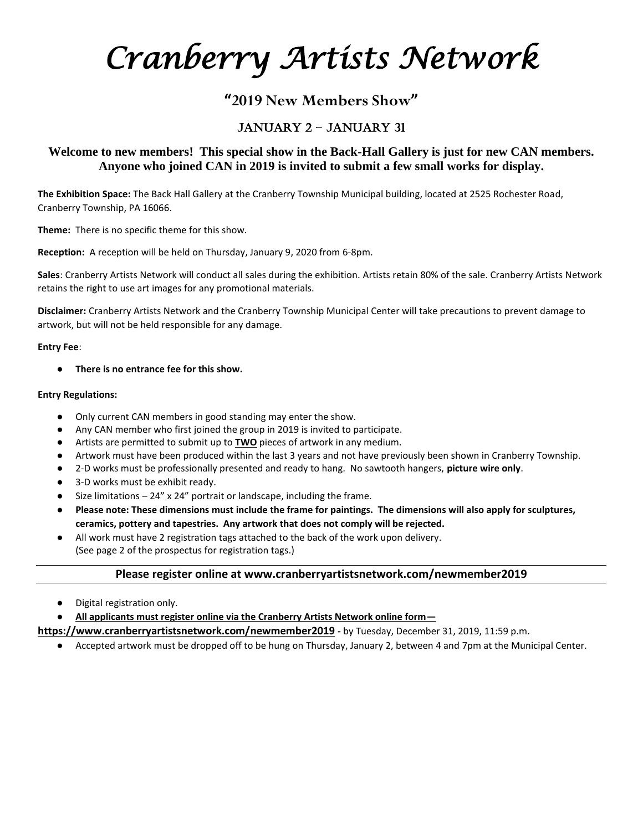*Cranberry Artists Network* 

# **"2019 New Members Show"**

# January 2 – January 31

## **Welcome to new members! This special show in the Back-Hall Gallery is just for new CAN members. Anyone who joined CAN in 2019 is invited to submit a few small works for display.**

**The Exhibition Space:** The Back Hall Gallery at the Cranberry Township Municipal building, located at 2525 Rochester Road, Cranberry Township, PA 16066.

**Theme:** There is no specific theme for this show.

**Reception:** A reception will be held on Thursday, January 9, 2020 from 6-8pm.

**Sales**: Cranberry Artists Network will conduct all sales during the exhibition. Artists retain 80% of the sale. Cranberry Artists Network retains the right to use art images for any promotional materials.

**Disclaimer:** Cranberry Artists Network and the Cranberry Township Municipal Center will take precautions to prevent damage to artwork, but will not be held responsible for any damage.

#### **Entry Fee**:

There is no entrance fee for this show.

#### **Entry Regulations:**

- Only current CAN members in good standing may enter the show.
- Any CAN member who first joined the group in 2019 is invited to participate.
- Artists are permitted to submit up to **TWO** pieces of artwork in any medium.
- Artwork must have been produced within the last 3 years and not have previously been shown in Cranberry Township.
- 2-D works must be professionally presented and ready to hang. No sawtooth hangers, **picture wire only**.
- 3-D works must be exhibit ready.
- Size limitations  $-24''$  x 24" portrait or landscape, including the frame.
- Please note: These dimensions must include the frame for paintings. The dimensions will also apply for sculptures, **ceramics, pottery and tapestries. Any artwork that does not comply will be rejected.**
- All work must have 2 registration tags attached to the back of the work upon delivery. (See page 2 of the prospectus for registration tags.)

### **Please register online at www.cranberryartistsnetwork.com/newmember2019**

- Digital registration only.
- **All applicants must register online via the Cranberry Artists Network online form—**

### **https://www.cranberryartistsnetwork.com/newmember2019 -** by Tuesday, December 31, 2019, 11:59 p.m.

● Accepted artwork must be dropped off to be hung on Thursday, January 2, between 4 and 7pm at the Municipal Center.